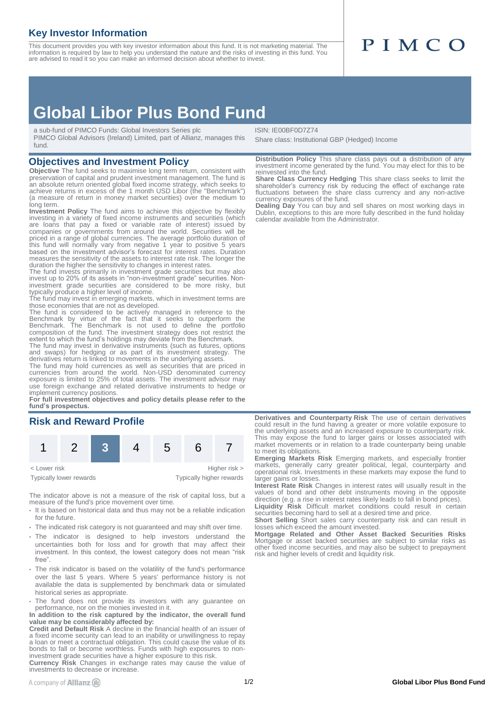### **Key Investor Information**

This document provides you with key investor information about this fund. It is not marketing material. The information is required by law to help you understand the nature and the risks of investing in this fund. You<br>are advised to read it so you can make an informed decision about whether to invest.

# PIMCO

## **Global Libor Plus Bond Fund**

a sub-fund of PIMCO Funds: Global Investors Series plc

PIMCO Global Advisors (Ireland) Limited, part of Allianz, manages this fund.

#### **Objectives and Investment Policy**

**Objective** The fund seeks to maximise long term return, consistent with preservation of capital and prudent investment management. The fund is an absolute return oriented global fixed income strategy, which seeks to achieve returns in excess of the 1 month USD Libor (the "Benchmark") (a measure of return in money market securities) over the medium to long term.

**Investment Policy** The fund aims to achieve this objective by flexibly investing in a variety of fixed income instruments and securities (which are loans that pay a fixed or variable rate of interest) issued by companies or governments from around the world. Securities will be priced in a range of global currencies. The average portfolio duration of this fund will normally vary from negative 1 year to positive 5 years based on the investment advisor's forecast for interest rates. Duration measures the sensitivity of the assets to interest rate risk. The longer the duration the higher the sensitivity to changes in interest rates.

The fund invests primarily in investment grade securities but may also invest up to 20% of its assets in "non-investment grade" securities. Noninvestment grade securities are considered to be more risky, but typically produce a higher level of income. The fund may invest in emerging markets, which in investment terms are

those economies that are not as developed.

The fund is considered to be actively managed in reference to the Benchmark by virtue of the fact that it seeks to outperform the Benchmark. The Benchmark is not used to define the portfolio composition of the fund. The investment strategy does not restrict the extent to which the fund's holdings may deviate from the Benchmark

The fund may invest in derivative instruments (such as futures, options and swaps) for hedging or as part of its investment strategy. The derivatives return is linked to movements in the underlying assets.

The fund may hold currencies as well as securities that are priced in currencies from around the world. Non-USD denominated currency exposure is limited to 25% of total assets. The investment advisor may use foreign exchange and related derivative instruments to hedge or

implement currency positions. **For full investment objectives and policy details please refer to the fund's prospectus.**

#### **Risk and Reward Profile**



The indicator above is not a measure of the risk of capital loss, but a measure of the fund's price movement over time.

- It is based on historical data and thus may not be a reliable indication for the future.
- The indicated risk category is not guaranteed and may shift over time.
- The indicator is designed to help investors understand the uncertainties both for loss and for growth that may affect their investment. In this context, the lowest category does not mean "risk free".
- The risk indicator is based on the volatility of the fund's performance over the last 5 years. Where 5 years' performance history is not available the data is supplemented by benchmark data or simulated historical series as appropriate.
- The fund does not provide its investors with any guarantee on performance, nor on the monies invested in it.

**In addition to the risk captured by the indicator, the overall fund value may be considerably affected by:**

**Credit and Default Risk** A decline in the financial health of an issuer of a fixed income security can lead to an inability or unwillingness to repay a loan or meet a contractual obligation. This could cause the value of its bonds to fall or become worthless. Funds with high exposures to non-investment grade securities have a higher exposure to this risk.

**Currency Risk** Changes in exchange rates may cause the value of investments to decrease or increase.

ISIN: IE00BF0D7Z74 Share class: Institutional GBP (Hedged) Income

**Distribution Policy** This share class pays out a distribution of any investment income generated by the fund. You may elect for this to be reinvested into the fund.

**Share Class Currency Hedging** This share class seeks to limit the shareholder's currency risk by reducing the effect of exchange rate fluctuations between the share class currency and any non-active currency exposures of the fund.

**Dealing Day** You can buy and sell shares on most working days in Dublin, exceptions to this are more fully described in the fund holiday calendar available from the Administrator.

**Derivatives and Counterparty Risk** The use of certain derivatives could result in the fund having a greater or more volatile exposure to the underlying assets and an increased exposure to counterparty risk. This may expose the fund to larger gains or losses associated with market movements or in relation to a trade counterparty being unable to meet its obligations.

**Emerging Markets Risk** Emerging markets, and especially frontier markets, generally carry greater political, legal, counterparty and operational risk. Investments in these markets may expose the fund to larger gains or losses.

**Interest Rate Risk** Changes in interest rates will usually result in the values of bond and other debt instruments moving in the opposite direction (e.g. a rise in interest rates likely leads to fall in bond prices). **Liquidity Risk** Difficult market conditions could result in certain securities becoming hard to sell at a desired time and price.

**Short Selling** Short sales carry counterparty risk and can result in losses which exceed the amount invested.

**Mortgage Related and Other Asset Backed Securities Risks** Mortgage or asset backed securities are subject to similar risks as other fixed income securities, and may also be subject to prepayment risk and higher levels of credit and liquidity risk.